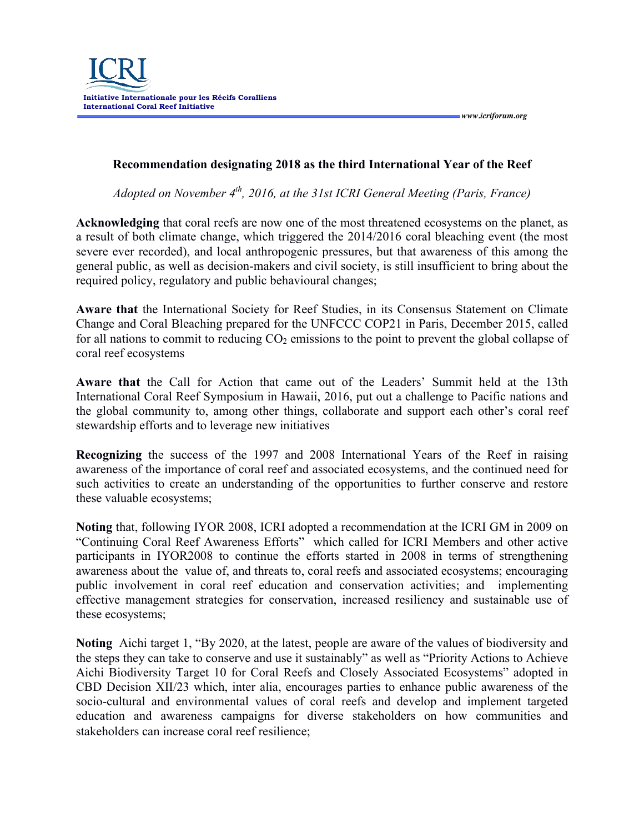

 *www.icriforum.org* 

## **Recommendation designating 2018 as the third International Year of the Reef**

*Adopted on November 4th, 2016, at the 31st ICRI General Meeting (Paris, France)*

**Acknowledging** that coral reefs are now one of the most threatened ecosystems on the planet, as a result of both climate change, which triggered the 2014/2016 coral bleaching event (the most severe ever recorded), and local anthropogenic pressures, but that awareness of this among the general public, as well as decision-makers and civil society, is still insufficient to bring about the required policy, regulatory and public behavioural changes;

**Aware that** the International Society for Reef Studies, in its Consensus Statement on Climate Change and Coral Bleaching prepared for the UNFCCC COP21 in Paris, December 2015, called for all nations to commit to reducing  $CO<sub>2</sub>$  emissions to the point to prevent the global collapse of coral reef ecosystems

**Aware that** the Call for Action that came out of the Leaders' Summit held at the 13th International Coral Reef Symposium in Hawaii, 2016, put out a challenge to Pacific nations and the global community to, among other things, collaborate and support each other's coral reef stewardship efforts and to leverage new initiatives

**Recognizing** the success of the 1997 and 2008 International Years of the Reef in raising awareness of the importance of coral reef and associated ecosystems, and the continued need for such activities to create an understanding of the opportunities to further conserve and restore these valuable ecosystems;

**Noting** that, following IYOR 2008, ICRI adopted a recommendation at the ICRI GM in 2009 on "Continuing Coral Reef Awareness Efforts" which called for ICRI Members and other active participants in IYOR2008 to continue the efforts started in 2008 in terms of strengthening awareness about the value of, and threats to, coral reefs and associated ecosystems; encouraging public involvement in coral reef education and conservation activities; and implementing effective management strategies for conservation, increased resiliency and sustainable use of these ecosystems;

**Noting** Aichi target 1, "By 2020, at the latest, people are aware of the values of biodiversity and the steps they can take to conserve and use it sustainably" as well as "Priority Actions to Achieve Aichi Biodiversity Target 10 for Coral Reefs and Closely Associated Ecosystems" adopted in CBD Decision XII/23 which, inter alia, encourages parties to enhance public awareness of the socio-cultural and environmental values of coral reefs and develop and implement targeted education and awareness campaigns for diverse stakeholders on how communities and stakeholders can increase coral reef resilience;